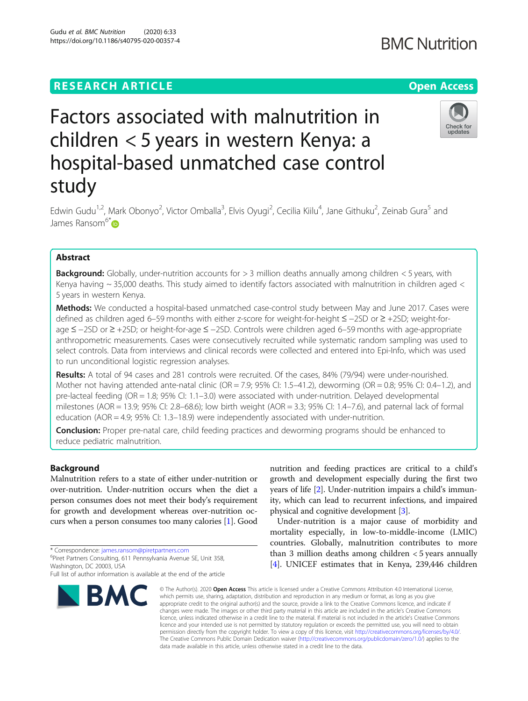# **RESEARCH ARTICLE Example 2014 12:30 The Contract of Contract ACCESS**

# Factors associated with malnutrition in children < 5 years in western Kenya: a hospital-based unmatched case control study

Edwin Gudu<sup>1,2</sup>, Mark Obonyo<sup>2</sup>, Victor Omballa<sup>3</sup>, Elvis Oyugi<sup>2</sup>, Cecilia Kiilu<sup>4</sup>, Jane Githuku<sup>2</sup>, Zeinab Gura<sup>5</sup> and James Ransom<sup>6\*</sup>

# Abstract

**Background:** Globally, under-nutrition accounts for  $>$  3 million deaths annually among children  $<$  5 years, with Kenya having ~ 35,000 deaths. This study aimed to identify factors associated with malnutrition in children aged < 5 years in western Kenya.

Methods: We conducted a hospital-based unmatched case-control study between May and June 2017. Cases were defined as children aged 6–59 months with either z-score for weight-for-height ≤ −2SD or ≥ +2SD; weight-forage ≤ −2SD or ≥ +2SD; or height-for-age ≤ −2SD. Controls were children aged 6–59 months with age-appropriate anthropometric measurements. Cases were consecutively recruited while systematic random sampling was used to select controls. Data from interviews and clinical records were collected and entered into Epi-Info, which was used to run unconditional logistic regression analyses.

Results: A total of 94 cases and 281 controls were recruited. Of the cases, 84% (79/94) were under-nourished. Mother not having attended ante-natal clinic ( $OR = 7.9$ ;  $95\%$  Cl: 1.5–41.2), deworming ( $OR = 0.8$ ;  $95\%$  Cl:  $0.4-1.2$ ), and pre-lacteal feeding (OR = 1.8; 95% CI: 1.1–3.0) were associated with under-nutrition. Delayed developmental milestones (AOR = 13.9; 95% CI: 2.8–68.6); low birth weight (AOR = 3.3; 95% CI: 1.4–7.6), and paternal lack of formal education (AOR = 4.9; 95% CI: 1.3–18.9) were independently associated with under-nutrition.

**Conclusion:** Proper pre-natal care, child feeding practices and deworming programs should be enhanced to reduce pediatric malnutrition.

# Background

Malnutrition refers to a state of either under-nutrition or over-nutrition. Under-nutrition occurs when the diet a person consumes does not meet their body's requirement for growth and development whereas over-nutrition occurs when a person consumes too many calories [[1](#page-6-0)]. Good

\* Correspondence: [james.ransom@piretpartners.com](mailto:james.ransom@piretpartners.com) <sup>6</sup>

**BMC** 

<sup>6</sup>Piret Partners Consulting, 611 Pennsylvania Avenue SE, Unit 358, Washington, DC 20003, USA

# nutrition and feeding practices are critical to a child's

growth and development especially during the first two years of life [\[2\]](#page-6-0). Under-nutrition impairs a child's immunity, which can lead to recurrent infections, and impaired physical and cognitive development [[3](#page-6-0)].

Under-nutrition is a major cause of morbidity and mortality especially, in low-to-middle-income (LMIC) countries. Globally, malnutrition contributes to more than 3 million deaths among children < 5 years annually [[4\]](#page-6-0). UNICEF estimates that in Kenya, 239,446 children

© The Author(s), 2020 **Open Access** This article is licensed under a Creative Commons Attribution 4.0 International License, which permits use, sharing, adaptation, distribution and reproduction in any medium or format, as long as you give appropriate credit to the original author(s) and the source, provide a link to the Creative Commons licence, and indicate if changes were made. The images or other third party material in this article are included in the article's Creative Commons licence, unless indicated otherwise in a credit line to the material. If material is not included in the article's Creative Commons licence and your intended use is not permitted by statutory regulation or exceeds the permitted use, you will need to obtain permission directly from the copyright holder. To view a copy of this licence, visit [http://creativecommons.org/licenses/by/4.0/.](http://creativecommons.org/licenses/by/4.0/) The Creative Commons Public Domain Dedication waiver [\(http://creativecommons.org/publicdomain/zero/1.0/](http://creativecommons.org/publicdomain/zero/1.0/)) applies to the data made available in this article, unless otherwise stated in a credit line to the data.





Full list of author information is available at the end of the article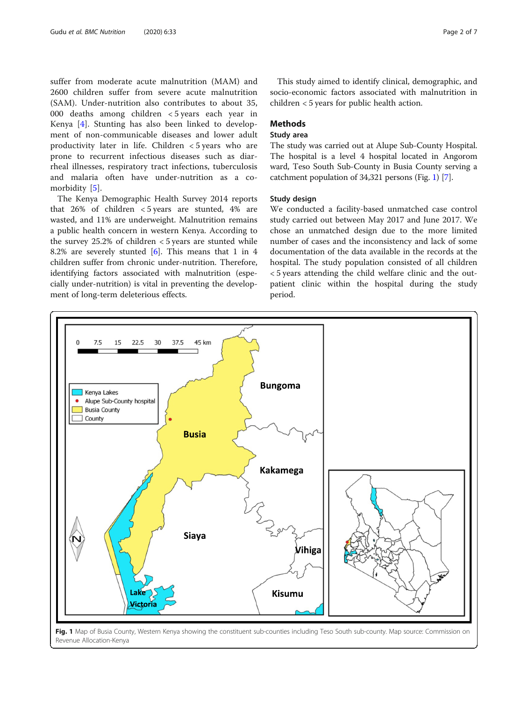suffer from moderate acute malnutrition (MAM) and 2600 children suffer from severe acute malnutrition (SAM). Under-nutrition also contributes to about 35, 000 deaths among children < 5 years each year in Kenya [[4\]](#page-6-0). Stunting has also been linked to development of non-communicable diseases and lower adult productivity later in life. Children < 5 years who are prone to recurrent infectious diseases such as diarrheal illnesses, respiratory tract infections, tuberculosis and malaria often have under-nutrition as a comorbidity [[5\]](#page-6-0).

The Kenya Demographic Health Survey 2014 reports that 26% of children < 5 years are stunted, 4% are wasted, and 11% are underweight. Malnutrition remains a public health concern in western Kenya. According to the survey 25.2% of children < 5 years are stunted while 8.2% are severely stunted  $[6]$ . This means that 1 in 4 children suffer from chronic under-nutrition. Therefore, identifying factors associated with malnutrition (especially under-nutrition) is vital in preventing the development of long-term deleterious effects.

This study aimed to identify clinical, demographic, and socio-economic factors associated with malnutrition in children < 5 years for public health action.

# Methods

# Study area

The study was carried out at Alupe Sub-County Hospital. The hospital is a level 4 hospital located in Angorom ward, Teso South Sub-County in Busia County serving a catchment population of 34,321 persons (Fig. 1) [\[7](#page-6-0)].

# Study design

We conducted a facility-based unmatched case control study carried out between May 2017 and June 2017. We chose an unmatched design due to the more limited number of cases and the inconsistency and lack of some documentation of the data available in the records at the hospital. The study population consisted of all children < 5 years attending the child welfare clinic and the outpatient clinic within the hospital during the study period.



Fig. 1 Map of Busia County, Western Kenya showing the constituent sub-counties including Teso South sub-county. Map source: Commission on Revenue Allocation-Kenya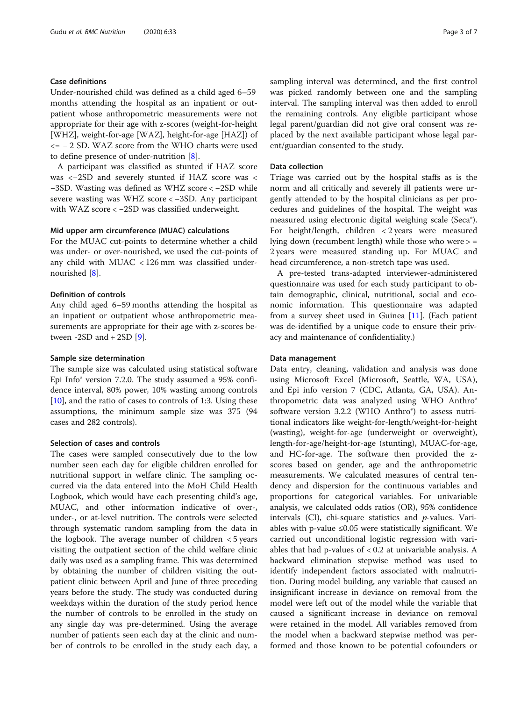# Case definitions

Under-nourished child was defined as a child aged 6–59 months attending the hospital as an inpatient or outpatient whose anthropometric measurements were not appropriate for their age with z-scores (weight-for-height [WHZ], weight-for-age [WAZ], height-for-age [HAZ]) of <= − 2 SD. WAZ score from the WHO charts were used to define presence of under-nutrition [\[8](#page-6-0)].

A participant was classified as stunted if HAZ score was <−2SD and severely stunted if HAZ score was < −3SD. Wasting was defined as WHZ score < −2SD while severe wasting was WHZ score < −3SD. Any participant with WAZ score < −2SD was classified underweight.

# Mid upper arm circumference (MUAC) calculations

For the MUAC cut-points to determine whether a child was under- or over-nourished, we used the cut-points of any child with MUAC < 126 mm was classified undernourished [[8\]](#page-6-0).

# Definition of controls

Any child aged 6–59 months attending the hospital as an inpatient or outpatient whose anthropometric measurements are appropriate for their age with z-scores between  $-2SD$  and  $+ 2SD$  [\[9](#page-6-0)].

# Sample size determination

The sample size was calculated using statistical software Epi Info® version 7.2.0. The study assumed a 95% confidence interval, 80% power, 10% wasting among controls  $[10]$  $[10]$ , and the ratio of cases to controls of 1:3. Using these assumptions, the minimum sample size was 375 (94 cases and 282 controls).

## Selection of cases and controls

The cases were sampled consecutively due to the low number seen each day for eligible children enrolled for nutritional support in welfare clinic. The sampling occurred via the data entered into the MoH Child Health Logbook, which would have each presenting child's age, MUAC, and other information indicative of over-, under-, or at-level nutrition. The controls were selected through systematic random sampling from the data in the logbook. The average number of children  $\lt$  5 years visiting the outpatient section of the child welfare clinic daily was used as a sampling frame. This was determined by obtaining the number of children visiting the outpatient clinic between April and June of three preceding years before the study. The study was conducted during weekdays within the duration of the study period hence the number of controls to be enrolled in the study on any single day was pre-determined. Using the average number of patients seen each day at the clinic and number of controls to be enrolled in the study each day, a sampling interval was determined, and the first control was picked randomly between one and the sampling interval. The sampling interval was then added to enroll the remaining controls. Any eligible participant whose legal parent/guardian did not give oral consent was replaced by the next available participant whose legal parent/guardian consented to the study.

# Data collection

Triage was carried out by the hospital staffs as is the norm and all critically and severely ill patients were urgently attended to by the hospital clinicians as per procedures and guidelines of the hospital. The weight was measured using electronic digital weighing scale (Seca®). For height/length, children < 2 years were measured lying down (recumbent length) while those who were > = 2 years were measured standing up. For MUAC and head circumference, a non-stretch tape was used.

A pre-tested trans-adapted interviewer-administered questionnaire was used for each study participant to obtain demographic, clinical, nutritional, social and economic information. This questionnaire was adapted from a survey sheet used in Guinea [\[11\]](#page-6-0). (Each patient was de-identified by a unique code to ensure their privacy and maintenance of confidentiality.)

#### Data management

Data entry, cleaning, validation and analysis was done using Microsoft Excel (Microsoft, Seattle, WA, USA), and Epi info version 7 (CDC, Atlanta, GA, USA). Anthropometric data was analyzed using WHO Anthro® software version 3.2.2 (WHO Anthro®) to assess nutritional indicators like weight-for-length/weight-for-height (wasting), weight-for-age (underweight or overweight), length-for-age/height-for-age (stunting), MUAC-for-age, and HC-for-age. The software then provided the zscores based on gender, age and the anthropometric measurements. We calculated measures of central tendency and dispersion for the continuous variables and proportions for categorical variables. For univariable analysis, we calculated odds ratios (OR), 95% confidence intervals (CI), chi-square statistics and  $p$ -values. Variables with p-value ≤0.05 were statistically significant. We carried out unconditional logistic regression with variables that had p-values of < 0.2 at univariable analysis. A backward elimination stepwise method was used to identify independent factors associated with malnutrition. During model building, any variable that caused an insignificant increase in deviance on removal from the model were left out of the model while the variable that caused a significant increase in deviance on removal were retained in the model. All variables removed from the model when a backward stepwise method was performed and those known to be potential cofounders or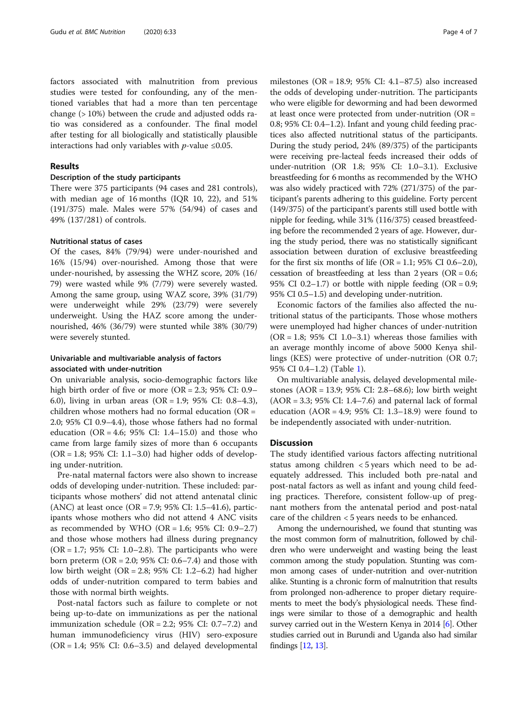factors associated with malnutrition from previous studies were tested for confounding, any of the mentioned variables that had a more than ten percentage change (> 10%) between the crude and adjusted odds ratio was considered as a confounder. The final model after testing for all biologically and statistically plausible interactions had only variables with *p*-value ≤0.05.

# Results

# Description of the study participants

There were 375 participants (94 cases and 281 controls), with median age of 16 months (IQR 10, 22), and 51% (191/375) male. Males were 57% (54/94) of cases and 49% (137/281) of controls.

# Nutritional status of cases

Of the cases, 84% (79/94) were under-nourished and 16% (15/94) over-nourished. Among those that were under-nourished, by assessing the WHZ score, 20% (16/ 79) were wasted while 9% (7/79) were severely wasted. Among the same group, using WAZ score, 39% (31/79) were underweight while 29% (23/79) were severely underweight. Using the HAZ score among the undernourished, 46% (36/79) were stunted while 38% (30/79) were severely stunted.

# Univariable and multivariable analysis of factors associated with under-nutrition

On univariable analysis, socio-demographic factors like high birth order of five or more (OR = 2.3; 95% CI: 0.9– 6.0), living in urban areas (OR = 1.9; 95% CI: 0.8–4.3), children whose mothers had no formal education (OR = 2.0; 95% CI 0.9–4.4), those whose fathers had no formal education (OR = 4.6; 95% CI: 1.4–15.0) and those who came from large family sizes of more than 6 occupants  $(OR = 1.8; 95\% CI: 1.1–3.0)$  had higher odds of developing under-nutrition.

Pre-natal maternal factors were also shown to increase odds of developing under-nutrition. These included: participants whose mothers' did not attend antenatal clinic (ANC) at least once (OR = 7.9; 95% CI: 1.5–41.6), participants whose mothers who did not attend 4 ANC visits as recommended by WHO (OR = 1.6;  $95\%$  CI: 0.9-2.7) and those whose mothers had illness during pregnancy  $(OR = 1.7; 95\% CI: 1.0–2.8)$ . The participants who were born preterm (OR = 2.0; 95% CI:  $0.6-7.4$ ) and those with low birth weight  $(OR = 2.8; 95\% \text{ CI: } 1.2-6.2)$  had higher odds of under-nutrition compared to term babies and those with normal birth weights.

Post-natal factors such as failure to complete or not being up-to-date on immunizations as per the national immunization schedule ( $OR = 2.2$ ; 95% CI: 0.7–7.2) and human immunodeficiency virus (HIV) sero-exposure (OR = 1.4; 95% CI: 0.6–3.5) and delayed developmental

milestones (OR = 18.9; 95% CI: 4.1–87.5) also increased the odds of developing under-nutrition. The participants who were eligible for deworming and had been dewormed at least once were protected from under-nutrition (OR = 0.8; 95% CI: 0.4–1.2). Infant and young child feeding practices also affected nutritional status of the participants. During the study period, 24% (89/375) of the participants were receiving pre-lacteal feeds increased their odds of under-nutrition (OR 1.8; 95% CI: 1.0–3.1). Exclusive breastfeeding for 6 months as recommended by the WHO was also widely practiced with 72% (271/375) of the participant's parents adhering to this guideline. Forty percent (149/375) of the participant's parents still used bottle with nipple for feeding, while 31% (116/375) ceased breastfeeding before the recommended 2 years of age. However, during the study period, there was no statistically significant association between duration of exclusive breastfeeding for the first six months of life (OR = 1.1; 95% CI 0.6–2.0), cessation of breastfeeding at less than 2 years ( $OR = 0.6$ ; 95% CI 0.2–1.7) or bottle with nipple feeding  $(OR = 0.9;$ 95% CI 0.5–1.5) and developing under-nutrition.

Economic factors of the families also affected the nutritional status of the participants. Those whose mothers were unemployed had higher chances of under-nutrition  $(OR = 1.8; 95\% \text{ CI } 1.0-3.1)$  whereas those families with an average monthly income of above 5000 Kenya shillings (KES) were protective of under-nutrition (OR 0.7; 95% CI 0.4–1.2) (Table [1](#page-4-0)).

On multivariable analysis, delayed developmental milestones (AOR = 13.9; 95% CI: 2.8–68.6); low birth weight  $(AOR = 3.3; 95\% CI: 1.4–7.6)$  and paternal lack of formal education  $(AOR = 4.9; 95\% \text{ CI: } 1.3-18.9)$  were found to be independently associated with under-nutrition.

# **Discussion**

The study identified various factors affecting nutritional status among children < 5 years which need to be adequately addressed. This included both pre-natal and post-natal factors as well as infant and young child feeding practices. Therefore, consistent follow-up of pregnant mothers from the antenatal period and post-natal care of the children < 5 years needs to be enhanced.

Among the undernourished, we found that stunting was the most common form of malnutrition, followed by children who were underweight and wasting being the least common among the study population. Stunting was common among cases of under-nutrition and over-nutrition alike. Stunting is a chronic form of malnutrition that results from prolonged non-adherence to proper dietary requirements to meet the body's physiological needs. These findings were similar to those of a demographic and health survey carried out in the Western Kenya in 2014 [[6](#page-6-0)]. Other studies carried out in Burundi and Uganda also had similar findings [\[12,](#page-6-0) [13\]](#page-6-0).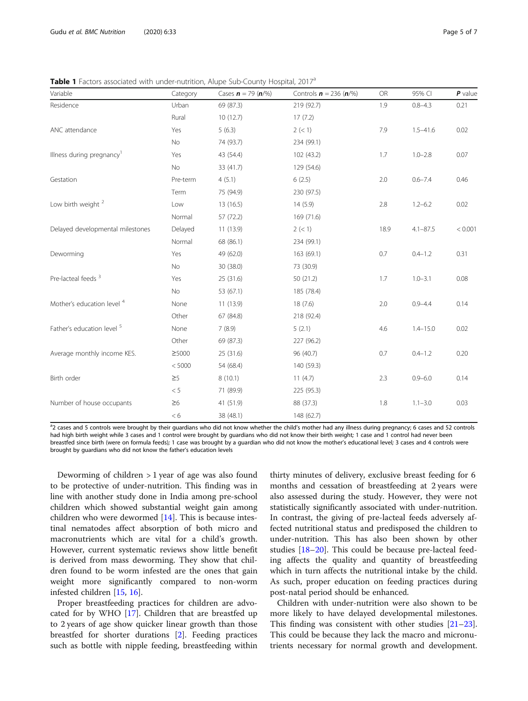<span id="page-4-0"></span>Table 1 Factors associated with under-nutrition, Alupe Sub-County Hospital, 2017<sup>a</sup>

| Variable                              | Category    | Cases $n = 79$ ( $n$ /%) | Controls $n = 236 (n\frac{1}{6})$ | ${\sf OR}$ | 95% CI       | $P$ value |
|---------------------------------------|-------------|--------------------------|-----------------------------------|------------|--------------|-----------|
| Residence                             | Urban       | 69 (87.3)                | 219 (92.7)                        | 1.9        | $0.8 - 4.3$  | 0.21      |
|                                       | Rural       | 10(12.7)                 | 17(7.2)                           |            |              |           |
| ANC attendance                        | Yes         | 5(6.3)                   | 2 (< 1)                           | 7.9        | $1.5 - 41.6$ | 0.02      |
|                                       | No          | 74 (93.7)                | 234 (99.1)                        |            |              |           |
| Illness during pregnancy <sup>1</sup> | Yes         | 43 (54.4)                | 102 (43.2)                        | 1.7        | $1.0 - 2.8$  | 0.07      |
|                                       | No          | 33 (41.7)                | 129 (54.6)                        |            |              |           |
| Gestation                             | Pre-term    | 4(5.1)                   | 6(2.5)                            | 2.0        | $0.6 - 7.4$  | 0.46      |
|                                       | Term        | 75 (94.9)                | 230 (97.5)                        |            |              |           |
| Low birth weight <sup>2</sup>         | Low         | 13 (16.5)                | 14(5.9)                           | 2.8        | $1.2 - 6.2$  | 0.02      |
|                                       | Normal      | 57 (72.2)                | 169 (71.6)                        |            |              |           |
| Delayed developmental milestones      | Delayed     | 11(13.9)                 | 2 (< 1)                           | 18.9       | $4.1 - 87.5$ | < 0.001   |
|                                       | Normal      | 68 (86.1)                | 234 (99.1)                        |            |              |           |
| Deworming                             | Yes         | 49 (62.0)                | 163 (69.1)                        | 0.7        | $0.4 - 1.2$  | 0.31      |
|                                       | No          | 30 (38.0)                | 73 (30.9)                         |            |              |           |
| Pre-lacteal feeds <sup>3</sup>        | Yes         | 25 (31.6)                | 50 (21.2)                         | 1.7        | $1.0 - 3.1$  | 0.08      |
|                                       | No          | 53 (67.1)                | 185 (78.4)                        |            |              |           |
| Mother's education level 4            | None        | 11(13.9)                 | 18(7.6)                           | 2.0        | $0.9 - 4.4$  | 0.14      |
|                                       | Other       | 67 (84.8)                | 218 (92.4)                        |            |              |           |
| Father's education level <sup>5</sup> | None        | 7(8.9)                   | 5(2.1)                            | 4.6        | $1.4 - 15.0$ | 0.02      |
|                                       | Other       | 69 (87.3)                | 227 (96.2)                        |            |              |           |
| Average monthly income KES.           | $\geq$ 5000 | 25 (31.6)                | 96 (40.7)                         | 0.7        | $0.4 - 1.2$  | 0.20      |
|                                       | < 5000      | 54 (68.4)                | 140 (59.3)                        |            |              |           |
| Birth order                           | $\geq$ 5    | 8(10.1)                  | 11(4.7)                           | 2.3        | $0.9 - 6.0$  | 0.14      |
|                                       | $< 5\,$     | 71 (89.9)                | 225 (95.3)                        |            |              |           |
| Number of house occupants             | $\geq 6$    | 41 (51.9)                | 88 (37.3)                         | 1.8        | $1.1 - 3.0$  | 0.03      |
|                                       | < 6         | 38 (48.1)                | 148 (62.7)                        |            |              |           |

<sup>a</sup>2 cases and 5 controls were brought by their guardians who did not know whether the child's mother had any illness during pregnancy; 6 cases and 52 controls had high birth weight while 3 cases and 1 control were brought by guardians who did not know their birth weight; 1 case and 1 control had never been breastfed since birth (were on formula feeds); 1 case was brought by a guardian who did not know the mother's educational level; 3 cases and 4 controls were brought by guardians who did not know the father's education levels

Deworming of children  $> 1$  year of age was also found to be protective of under-nutrition. This finding was in line with another study done in India among pre-school children which showed substantial weight gain among children who were dewormed [[14](#page-6-0)]. This is because intestinal nematodes affect absorption of both micro and macronutrients which are vital for a child's growth. However, current systematic reviews show little benefit is derived from mass deworming. They show that children found to be worm infested are the ones that gain weight more significantly compared to non-worm infested children [\[15,](#page-6-0) [16\]](#page-6-0).

Proper breastfeeding practices for children are advocated for by WHO  $[17]$  $[17]$  $[17]$ . Children that are breastfed up to 2 years of age show quicker linear growth than those breastfed for shorter durations [\[2](#page-6-0)]. Feeding practices such as bottle with nipple feeding, breastfeeding within

thirty minutes of delivery, exclusive breast feeding for 6 months and cessation of breastfeeding at 2 years were also assessed during the study. However, they were not statistically significantly associated with under-nutrition. In contrast, the giving of pre-lacteal feeds adversely affected nutritional status and predisposed the children to under-nutrition. This has also been shown by other studies [[18](#page-6-0)–[20](#page-6-0)]. This could be because pre-lacteal feeding affects the quality and quantity of breastfeeding which in turn affects the nutritional intake by the child. As such, proper education on feeding practices during post-natal period should be enhanced.

Children with under-nutrition were also shown to be more likely to have delayed developmental milestones. This finding was consistent with other studies [[21](#page-6-0)–[23](#page-6-0)]. This could be because they lack the macro and micronutrients necessary for normal growth and development.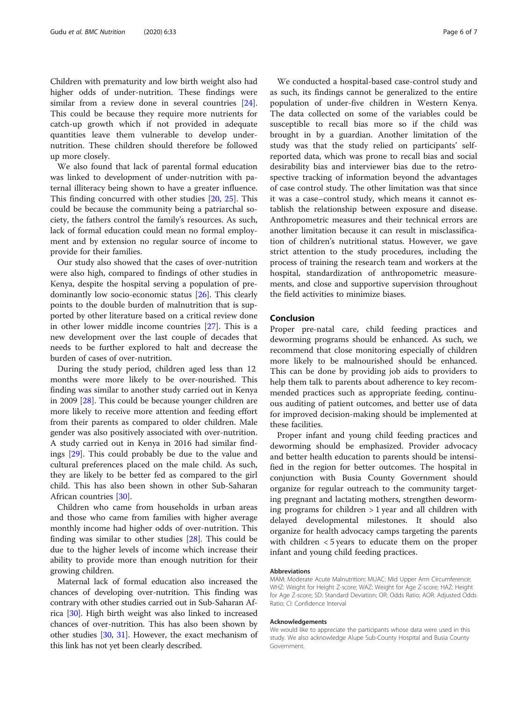Children with prematurity and low birth weight also had higher odds of under-nutrition. These findings were similar from a review done in several countries [\[24](#page-6-0)]. This could be because they require more nutrients for catch-up growth which if not provided in adequate quantities leave them vulnerable to develop undernutrition. These children should therefore be followed up more closely.

We also found that lack of parental formal education was linked to development of under-nutrition with paternal illiteracy being shown to have a greater influence. This finding concurred with other studies [[20,](#page-6-0) [25](#page-6-0)]. This could be because the community being a patriarchal society, the fathers control the family's resources. As such, lack of formal education could mean no formal employment and by extension no regular source of income to provide for their families.

Our study also showed that the cases of over-nutrition were also high, compared to findings of other studies in Kenya, despite the hospital serving a population of predominantly low socio-economic status [\[26](#page-6-0)]. This clearly points to the double burden of malnutrition that is supported by other literature based on a critical review done in other lower middle income countries [[27](#page-6-0)]. This is a new development over the last couple of decades that needs to be further explored to halt and decrease the burden of cases of over-nutrition.

During the study period, children aged less than 12 months were more likely to be over-nourished. This finding was similar to another study carried out in Kenya in 2009 [\[28](#page-6-0)]. This could be because younger children are more likely to receive more attention and feeding effort from their parents as compared to older children. Male gender was also positively associated with over-nutrition. A study carried out in Kenya in 2016 had similar findings [\[29](#page-6-0)]. This could probably be due to the value and cultural preferences placed on the male child. As such, they are likely to be better fed as compared to the girl child. This has also been shown in other Sub-Saharan African countries [[30\]](#page-6-0).

Children who came from households in urban areas and those who came from families with higher average monthly income had higher odds of over-nutrition. This finding was similar to other studies [\[28](#page-6-0)]. This could be due to the higher levels of income which increase their ability to provide more than enough nutrition for their growing children.

Maternal lack of formal education also increased the chances of developing over-nutrition. This finding was contrary with other studies carried out in Sub-Saharan Africa [\[30\]](#page-6-0). High birth weight was also linked to increased chances of over-nutrition. This has also been shown by other studies [\[30,](#page-6-0) [31](#page-6-0)]. However, the exact mechanism of this link has not yet been clearly described.

We conducted a hospital-based case-control study and as such, its findings cannot be generalized to the entire population of under-five children in Western Kenya. The data collected on some of the variables could be susceptible to recall bias more so if the child was brought in by a guardian. Another limitation of the study was that the study relied on participants' selfreported data, which was prone to recall bias and social desirability bias and interviewer bias due to the retrospective tracking of information beyond the advantages of case control study. The other limitation was that since it was a case–control study, which means it cannot establish the relationship between exposure and disease. Anthropometric measures and their technical errors are another limitation because it can result in misclassification of children's nutritional status. However, we gave strict attention to the study procedures, including the process of training the research team and workers at the hospital, standardization of anthropometric measurements, and close and supportive supervision throughout the field activities to minimize biases.

# Conclusion

Proper pre-natal care, child feeding practices and deworming programs should be enhanced. As such, we recommend that close monitoring especially of children more likely to be malnourished should be enhanced. This can be done by providing job aids to providers to help them talk to parents about adherence to key recommended practices such as appropriate feeding, continuous auditing of patient outcomes, and better use of data for improved decision-making should be implemented at these facilities.

Proper infant and young child feeding practices and deworming should be emphasized. Provider advocacy and better health education to parents should be intensified in the region for better outcomes. The hospital in conjunction with Busia County Government should organize for regular outreach to the community targeting pregnant and lactating mothers, strengthen deworming programs for children > 1 year and all children with delayed developmental milestones. It should also organize for health advocacy camps targeting the parents with children < 5 years to educate them on the proper infant and young child feeding practices.

#### Abbreviations

MAM: Moderate Acute Malnutrition; MUAC: Mid Upper Arm Circumference; WHZ: Weight for Height Z-score; WAZ: Weight for Age Z-score; HAZ: Height for Age Z-score; SD: Standard Deviation; OR: Odds Ratio; AOR: Adjusted Odds Ratio; CI: Confidence Interval

#### Acknowledgements

We would like to appreciate the participants whose data were used in this study. We also acknowledge Alupe Sub-County Hospital and Busia County Government.